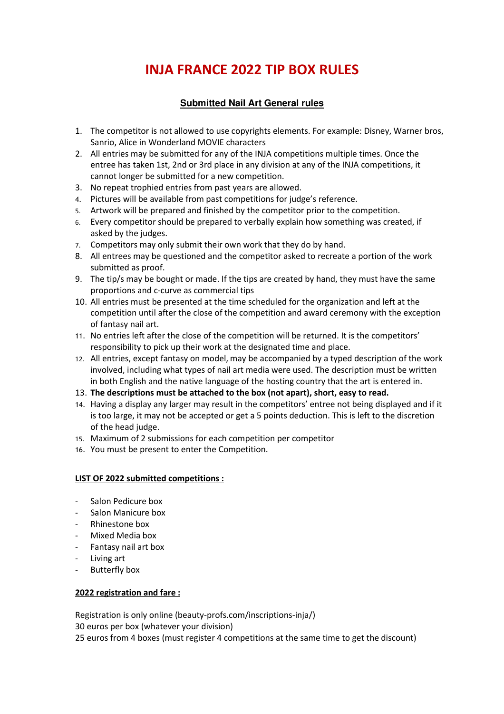# **INJA FRANCE 2022 TIP BOX RULES**

#### **Submitted Nail Art General rules**

- 1. The competitor is not allowed to use copyrights elements. For example: Disney, Warner bros, Sanrio, Alice in Wonderland MOVIE characters
- 2. All entries may be submitted for any of the INJA competitions multiple times. Once the entree has taken 1st, 2nd or 3rd place in any division at any of the INJA competitions, it cannot longer be submitted for a new competition.
- 3. No repeat trophied entries from past years are allowed.
- 4. Pictures will be available from past competitions for judge's reference.
- 5. Artwork will be prepared and finished by the competitor prior to the competition.
- 6. Every competitor should be prepared to verbally explain how something was created, if asked by the judges.
- 7. Competitors may only submit their own work that they do by hand.
- 8. All entrees may be questioned and the competitor asked to recreate a portion of the work submitted as proof.
- 9. The tip/s may be bought or made. If the tips are created by hand, they must have the same proportions and c-curve as commercial tips
- 10. All entries must be presented at the time scheduled for the organization and left at the competition until after the close of the competition and award ceremony with the exception of fantasy nail art.
- 11. No entries left after the close of the competition will be returned. It is the competitors' responsibility to pick up their work at the designated time and place.
- 12. All entries, except fantasy on model, may be accompanied by a typed description of the work involved, including what types of nail art media were used. The description must be written in both English and the native language of the hosting country that the art is entered in.
- 13. **The descriptions must be attached to the box (not apart), short, easy to read.**
- 14. Having a display any larger may result in the competitors' entree not being displayed and if it is too large, it may not be accepted or get a 5 points deduction. This is left to the discretion of the head judge.
- 15. Maximum of 2 submissions for each competition per competitor
- 16. You must be present to enter the Competition.

#### **LIST OF 2022 submitted competitions :**

- Salon Pedicure box
- Salon Manicure box
- Rhinestone box
- Mixed Media box
- Fantasy nail art box
- Living art
- Butterfly box

#### **2022 registration and fare :**

Registration is only online (beauty-profs.com/inscriptions-inja/) 30 euros per box (whatever your division) 25 euros from 4 boxes (must register 4 competitions at the same time to get the discount)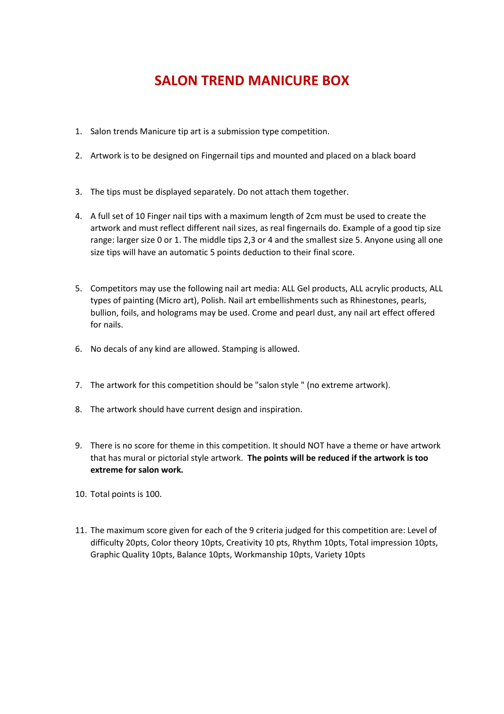## **SALON TREND MANICURE BOX**

- 1. Salon trends Manicure tip art is a submission type competition.
- 2. Artwork is to be designed on Fingernail tips and mounted and placed on a black board
- 3. The tips must be displayed separately. Do not attach them together.
- 4. A full set of 10 Finger nail tips with a maximum length of 2cm must be used to create the artwork and must reflect different nail sizes, as real fingernails do. Example of a good tip size range: larger size 0 or 1. The middle tips 2,3 or 4 and the smallest size 5. Anyone using all one size tips will have an automatic 5 points deduction to their final score.
- 5. Competitors may use the following nail art media: ALL Gel products, ALL acrylic products, ALL types of painting (Micro art), Polish. Nail art embellishments such as Rhinestones, pearls, bullion, foils, and holograms may be used. Crome and pearl dust, any nail art effect offered for nails.
- 6. No decals of any kind are allowed. Stamping is allowed.
- 7. The artwork for this competition should be "salon style " (no extreme artwork).
- 8. The artwork should have current design and inspiration.
- 9. There is no score for theme in this competition. It should NOT have a theme or have artwork that has mural or pictorial style artwork. **The points will be reduced if the artwork is too extreme for salon work.**
- 10. Total points is 100.
- 11. The maximum score given for each of the 9 criteria judged for this competition are: Level of difficulty 20pts, Color theory 10pts, Creativity 10 pts, Rhythm 10pts, Total impression 10pts, Graphic Quality 10pts, Balance 10pts, Workmanship 10pts, Variety 10pts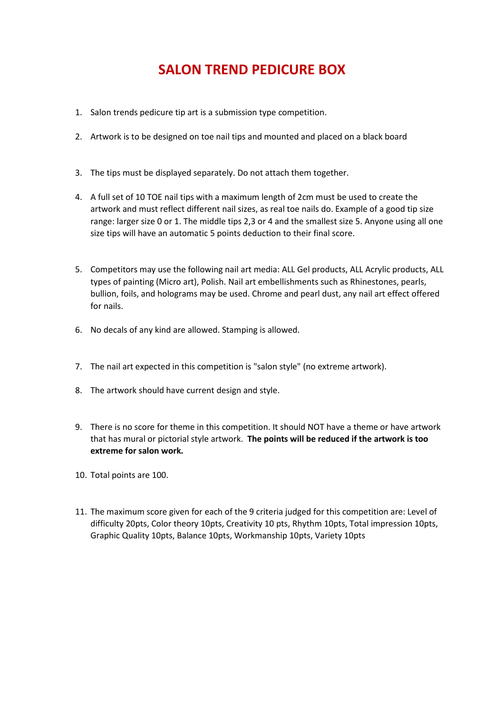# **SALON TREND PEDICURE BOX**

- 1. Salon trends pedicure tip art is a submission type competition.
- 2. Artwork is to be designed on toe nail tips and mounted and placed on a black board
- 3. The tips must be displayed separately. Do not attach them together.
- 4. A full set of 10 TOE nail tips with a maximum length of 2cm must be used to create the artwork and must reflect different nail sizes, as real toe nails do. Example of a good tip size range: larger size 0 or 1. The middle tips 2,3 or 4 and the smallest size 5. Anyone using all one size tips will have an automatic 5 points deduction to their final score.
- 5. Competitors may use the following nail art media: ALL Gel products, ALL Acrylic products, ALL types of painting (Micro art), Polish. Nail art embellishments such as Rhinestones, pearls, bullion, foils, and holograms may be used. Chrome and pearl dust, any nail art effect offered for nails.
- 6. No decals of any kind are allowed. Stamping is allowed.
- 7. The nail art expected in this competition is "salon style" (no extreme artwork).
- 8. The artwork should have current design and style.
- 9. There is no score for theme in this competition. It should NOT have a theme or have artwork that has mural or pictorial style artwork. **The points will be reduced if the artwork is too extreme for salon work.**
- 10. Total points are 100.
- 11. The maximum score given for each of the 9 criteria judged for this competition are: Level of difficulty 20pts, Color theory 10pts, Creativity 10 pts, Rhythm 10pts, Total impression 10pts, Graphic Quality 10pts, Balance 10pts, Workmanship 10pts, Variety 10pts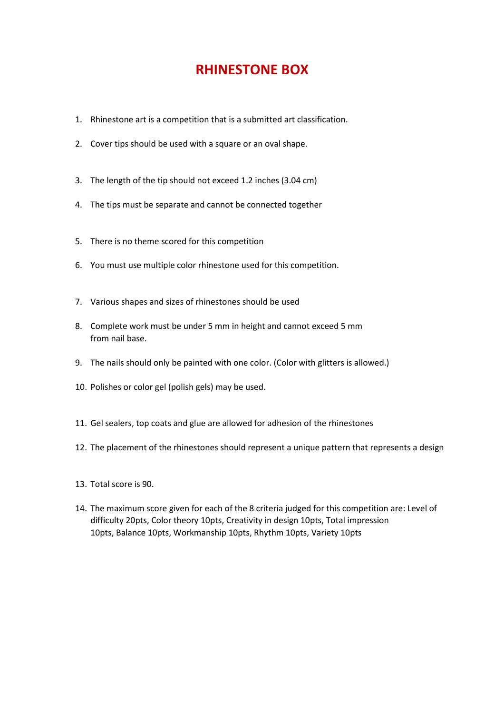### **RHINESTONE BOX**

- 1. Rhinestone art is a competition that is a submitted art classification.
- 2. Cover tips should be used with a square or an oval shape.
- 3. The length of the tip should not exceed 1.2 inches (3.04 cm)
- 4. The tips must be separate and cannot be connected together
- 5. There is no theme scored for this competition
- 6. You must use multiple color rhinestone used for this competition.
- 7. Various shapes and sizes of rhinestones should be used
- 8. Complete work must be under 5 mm in height and cannot exceed 5 mm from nail base.
- 9. The nails should only be painted with one color. (Color with glitters is allowed.)
- 10. Polishes or color gel (polish gels) may be used.
- 11. Gel sealers, top coats and glue are allowed for adhesion of the rhinestones
- 12. The placement of the rhinestones should represent a unique pattern that represents a design
- 13. Total score is 90.
- 14. The maximum score given for each of the 8 criteria judged for this competition are: Level of difficulty 20pts, Color theory 10pts, Creativity in design 10pts, Total impression 10pts, Balance 10pts, Workmanship 10pts, Rhythm 10pts, Variety 10pts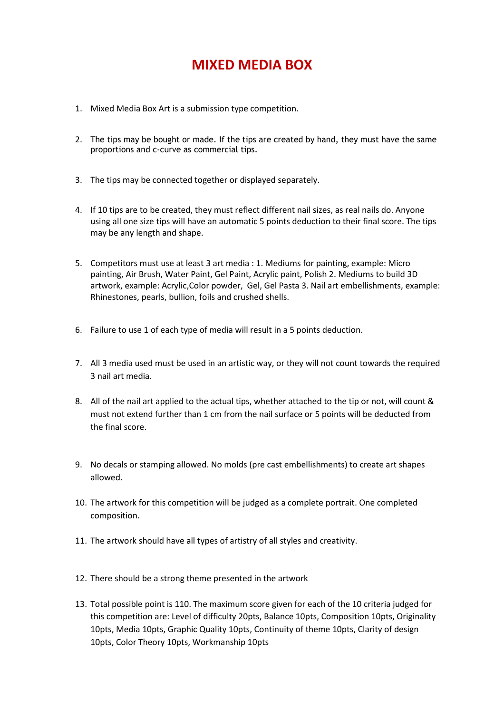### **MIXED MEDIA BOX**

- 1. Mixed Media Box Art is a submission type competition.
- 2. The tips may be bought or made. If the tips are created by hand, they must have the same proportions and c-curve as commercial tips.
- 3. The tips may be connected together or displayed separately.
- 4. If 10 tips are to be created, they must reflect different nail sizes, as real nails do. Anyone using all one size tips will have an automatic 5 points deduction to their final score. The tips may be any length and shape.
- 5. Competitors must use at least 3 art media : 1. Mediums for painting, example: Micro painting, Air Brush, Water Paint, Gel Paint, Acrylic paint, Polish 2. Mediums to build 3D artwork, example: Acrylic,Color powder, Gel, Gel Pasta 3. Nail art embellishments, example: Rhinestones, pearls, bullion, foils and crushed shells.
- 6. Failure to use 1 of each type of media will result in a 5 points deduction.
- 7. All 3 media used must be used in an artistic way, or they will not count towards the required 3 nail art media.
- 8. All of the nail art applied to the actual tips, whether attached to the tip or not, will count & must not extend further than 1 cm from the nail surface or 5 points will be deducted from the final score.
- 9. No decals or stamping allowed. No molds (pre cast embellishments) to create art shapes allowed.
- 10. The artwork for this competition will be judged as a complete portrait. One completed composition.
- 11. The artwork should have all types of artistry of all styles and creativity.
- 12. There should be a strong theme presented in the artwork
- 13. Total possible point is 110. The maximum score given for each of the 10 criteria judged for this competition are: Level of difficulty 20pts, Balance 10pts, Composition 10pts, Originality 10pts, Media 10pts, Graphic Quality 10pts, Continuity of theme 10pts, Clarity of design 10pts, Color Theory 10pts, Workmanship 10pts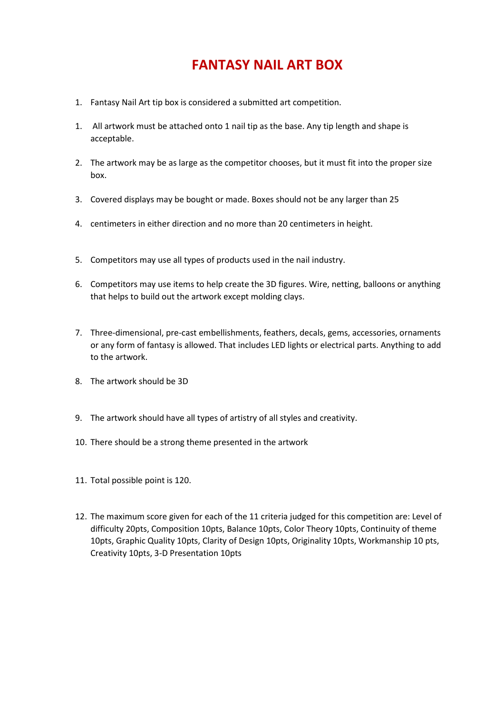### **FANTASY NAIL ART BOX**

- 1. Fantasy Nail Art tip box is considered a submitted art competition.
- 1. All artwork must be attached onto 1 nail tip as the base. Any tip length and shape is acceptable.
- 2. The artwork may be as large as the competitor chooses, but it must fit into the proper size box.
- 3. Covered displays may be bought or made. Boxes should not be any larger than 25
- 4. centimeters in either direction and no more than 20 centimeters in height.
- 5. Competitors may use all types of products used in the nail industry.
- 6. Competitors may use items to help create the 3D figures. Wire, netting, balloons or anything that helps to build out the artwork except molding clays.
- 7. Three-dimensional, pre-cast embellishments, feathers, decals, gems, accessories, ornaments or any form of fantasy is allowed. That includes LED lights or electrical parts. Anything to add to the artwork.
- 8. The artwork should be 3D
- 9. The artwork should have all types of artistry of all styles and creativity.
- 10. There should be a strong theme presented in the artwork
- 11. Total possible point is 120.
- 12. The maximum score given for each of the 11 criteria judged for this competition are: Level of difficulty 20pts, Composition 10pts, Balance 10pts, Color Theory 10pts, Continuity of theme 10pts, Graphic Quality 10pts, Clarity of Design 10pts, Originality 10pts, Workmanship 10 pts, Creativity 10pts, 3-D Presentation 10pts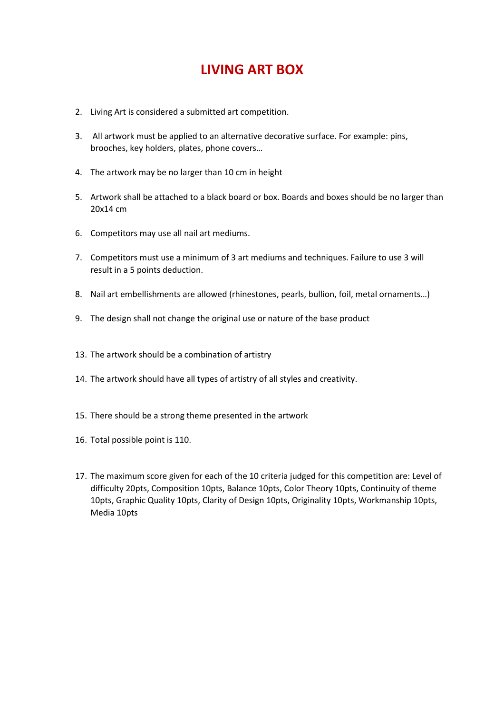## **LIVING ART BOX**

- 2. Living Art is considered a submitted art competition.
- 3. All artwork must be applied to an alternative decorative surface. For example: pins, brooches, key holders, plates, phone covers…
- 4. The artwork may be no larger than 10 cm in height
- 5. Artwork shall be attached to a black board or box. Boards and boxes should be no larger than 20x14 cm
- 6. Competitors may use all nail art mediums.
- 7. Competitors must use a minimum of 3 art mediums and techniques. Failure to use 3 will result in a 5 points deduction.
- 8. Nail art embellishments are allowed (rhinestones, pearls, bullion, foil, metal ornaments...)
- 9. The design shall not change the original use or nature of the base product
- 13. The artwork should be a combination of artistry
- 14. The artwork should have all types of artistry of all styles and creativity.
- 15. There should be a strong theme presented in the artwork
- 16. Total possible point is 110.
- 17. The maximum score given for each of the 10 criteria judged for this competition are: Level of difficulty 20pts, Composition 10pts, Balance 10pts, Color Theory 10pts, Continuity of theme 10pts, Graphic Quality 10pts, Clarity of Design 10pts, Originality 10pts, Workmanship 10pts, Media 10pts